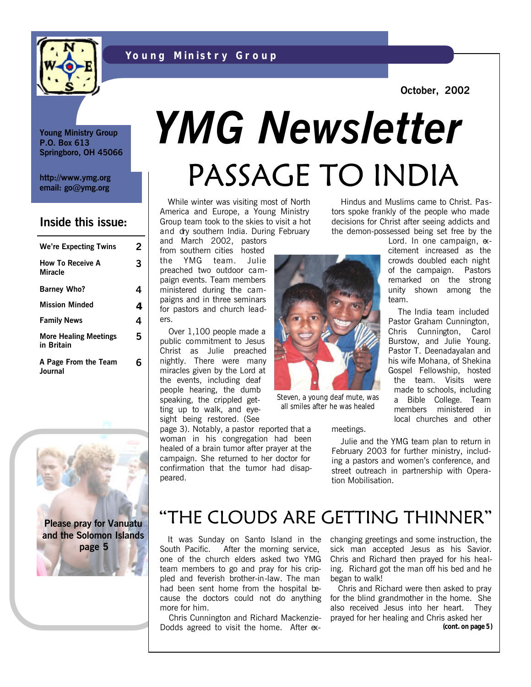



**October, 2002**

**Young Ministry Group P.O. Box 613 Springboro, OH 45066**

**http://www.ymg.org email: go@ymg.org**

#### **Inside this issue:**

| <b>We're Expecting Twins</b>               | 2 |
|--------------------------------------------|---|
| <b>How To Receive A</b><br><b>Miracle</b>  | 3 |
| <b>Barney Who?</b>                         | 4 |
| <b>Mission Minded</b>                      | 4 |
| <b>Family News</b>                         | 4 |
| <b>More Healing Meetings</b><br>in Britain | 5 |
| A Page From the Team<br>Journal            | R |



# PASSAGE TO INDIA *YMG Newsletter*

 While winter was visiting most of North America and Europe, a Young Ministry Group team took to the skies to visit a hot and dry southern India. During February

and March 2002, pastors from southern cities hosted the YMG team. Julie preached two outdoor campaign events. Team members ministered during the campaigns and in three seminars for pastors and church leaders.

 Over 1,100 people made a public commitment to Jesus Christ as Julie preached nightly. There were many miracles given by the Lord at the events, including deaf people hearing, the dumb speaking, the crippled getting up to walk, and eyesight being restored. (See

page 3). Notably, a pastor reported that a woman in his congregation had been healed of a brain tumor after prayer at the campaign. She returned to her doctor for confirmation that the tumor had disappeared.

 Hindus and Muslims came to Christ. Pastors spoke frankly of the people who made decisions for Christ after seeing addicts and the demon-possessed being set free by the Lord. In one campaign, ex-

citement increased as the crowds doubled each night of the campaign. Pastors remarked on the strong unity shown among the team. The India team included Pastor Graham Cunnington, Chris Cunnington, Carol Burstow, and Julie Young.

Pastor T. Deenadayalan and his wife Mohana, of Shekina Gospel Fellowship, hosted the team. Visits were made to schools, including a Bible College. Team members ministered in local churches and other

Steven, a young deaf mute, was all smiles after he was healed

meetings.

 Julie and the YMG team plan to return in February 2003 for further ministry, including a pastors and women's conference, and street outreach in partnership with Operation Mobilisation.

# "THE CLOUDS ARE GETTING THINNER"

 It was Sunday on Santo Island in the South Pacific. After the morning service, one of the church elders asked two YMG team members to go and pray for his crippled and feverish brother-in-law. The man had been sent home from the hospital because the doctors could not do anything more for him.

 Chris Cunnington and Richard Mackenzie-Dodds agreed to visit the home. After exchanging greetings and some instruction, the sick man accepted Jesus as his Savior. Chris and Richard then prayed for his healing. Richard got the man off his bed and he began to walk!

 Chris and Richard were then asked to pray for the blind grandmother in the home. She also received Jesus into her heart. They prayed for her healing and Chris asked her

**(cont. on page 5)**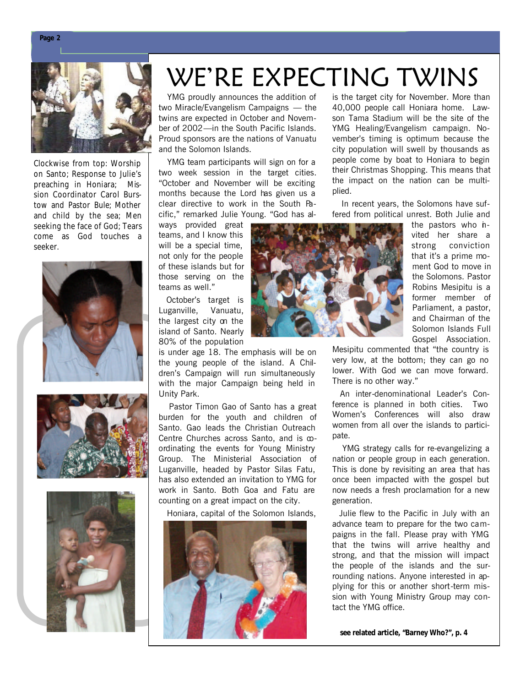

Clockwise from top: Worship on Santo; Response to Julie's preaching in Honiara; Mission Coordinator Carol Burstow and Pastor Bule; Mother and child by the sea; Men seeking the face of God; Tears come as God touches a seeker.







# WE'RE EXPECTING TWINS

 YMG proudly announces the addition of two Miracle/Evangelism Campaigns — the twins are expected in October and November of 2002—in the South Pacific Islands. Proud sponsors are the nations of Vanuatu and the Solomon Islands.

 YMG team participants will sign on for a two week session in the target cities. "October and November will be exciting months because the Lord has given us a clear directive to work in the South Pacific," remarked Julie Young. "God has al-

ways provided great teams, and I know this will be a special time, not only for the people of these islands but for those serving on the teams as well."

 October's target is Luganville, Vanuatu, the largest city on the island of Santo. Nearly 80% of the population

is under age 18. The emphasis will be on the young people of the island. A Children's Campaign will run simultaneously with the major Campaign being held in Unity Park.

 Pastor Timon Gao of Santo has a great burden for the youth and children of Santo. Gao leads the Christian Outreach Centre Churches across Santo, and is coordinating the events for Young Ministry Group. The Ministerial Association of Luganville, headed by Pastor Silas Fatu, has also extended an invitation to YMG for work in Santo. Both Goa and Fatu are counting on a great impact on the city.

Honiara, capital of the Solomon Islands,



is the target city for November. More than 40,000 people call Honiara home. Lawson Tama Stadium will be the site of the YMG Healing/Evangelism campaign. November's timing is optimum because the city population will swell by thousands as people come by boat to Honiara to begin their Christmas Shopping. This means that the impact on the nation can be multiplied.

 In recent years, the Solomons have suffered from political unrest. Both Julie and



the pastors who *n*vited her share a strong conviction that it's a prime moment God to move in the Solomons. Pastor Robins Mesipitu is a former member of Parliament, a pastor, and Chairman of the Solomon Islands Full Gospel Association.

Mesipitu commented that "the country is very low, at the bottom; they can go no lower. With God we can move forward. There is no other way."

 An inter-denominational Leader's Conference is planned in both cities. Two Women's Conferences will also draw women from all over the islands to participate.

 YMG strategy calls for re-evangelizing a nation or people group in each generation. This is done by revisiting an area that has once been impacted with the gospel but now needs a fresh proclamation for a new generation.

 Julie flew to the Pacific in July with an advance team to prepare for the two campaigns in the fall. Please pray with YMG that the twins will arrive healthy and strong, and that the mission will impact the people of the islands and the surrounding nations. Anyone interested in applying for this or another short-term mission with Young Ministry Group may contact the YMG office.

**see related article, "Barney Who?", p. 4**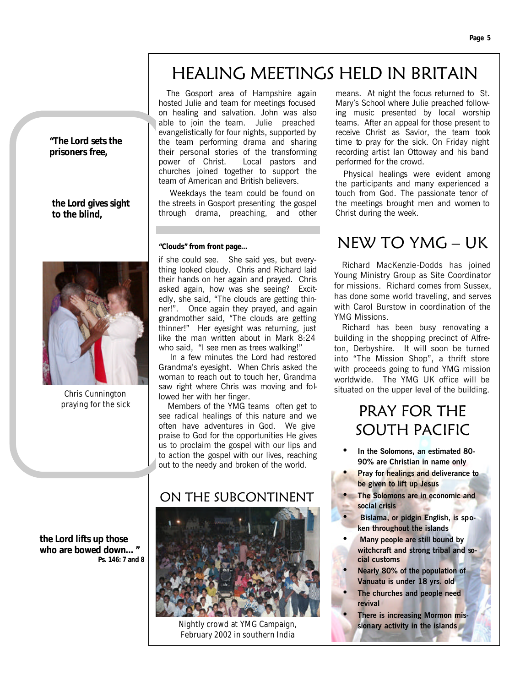# HEALING MEETINGS HELD IN BRITAIN

hosted Julie and team for meetings focused on healing and salvation. John was also able to join the team. Julie preached evangelistically for four nights, supported by the team performing drama and sharing their personal stories of the transforming power of Christ. Local pastors and churches joined together to support the team of American and British believers.

The Gosport area of Hampshire again

 Weekdays the team could be found on the streets in Gosport presenting the gospel through drama, preaching, and other

#### **"Clouds" from front page…**

if she could see. She said yes, but everything looked cloudy. Chris and Richard laid their hands on her again and prayed. Chris asked again, how was she seeing? Excitedly, she said, "The clouds are getting thinner!". Once again they prayed, and again grandmother said, "The clouds are getting thinner!" Her eyesight was returning, just like the man written about in Mark 8:24 who said, "I see men as trees walking!"

 In a few minutes the Lord had restored Grandma's eyesight. When Chris asked the woman to reach out to touch her, Grandma saw right where Chris was moving and followed her with her finger.

 Members of the YMG teams often get to see radical healings of this nature and we often have adventures in God. We give praise to God for the opportunities He gives us to proclaim the gospel with our lips and to action the gospel with our lives, reaching out to the needy and broken of the world.

#### ON THE SUBCONTINENT



Nightly crowd at YMG Campaign, February 2002 in southern India

means. At night the focus returned to St. Mary's School where Julie preached following music presented by local worship teams. After an appeal for those present to receive Christ as Savior, the team took time to pray for the sick. On Friday night recording artist Ian Ottoway and his band performed for the crowd.

 Physical healings were evident among the participants and many experienced a touch from God. The passionate tenor of the meetings brought men and women to Christ during the week.

### NEW TO YMG – UK

 Richard MacKenzie-Dodds has joined Young Ministry Group as Site Coordinator for missions. Richard comes from Sussex, has done some world traveling, and serves with Carol Burstow in coordination of the YMG Missions.

 Richard has been busy renovating a building in the shopping precinct of Alfreton, Derbyshire. It will soon be turned into "The Mission Shop", a thrift store with proceeds going to fund YMG mission worldwide. The YMG UK office will be situated on the upper level of the building.

### PRAY FOR THE SOUTH PACIFIC

- **In the Solomons, an estimated 80- 90% are Christian in name only**
- **Pray for healings and deliverance to be given to lift up Jesus**
- **The Solomons are in economic and social crisis**
- • **Bislama, or pidgin English, is spoken throughout the islands**
- • **Many people are still bound by witchcraft and strong tribal and social customs**
- **Nearly 80% of the population of Vanuatu is under 18 yrs. old**
- **The churches and people need revival**
	- **There is increasing Mormon missionary activity in the islands**

**"The Lord sets the prisoners free,**

#### **the Lord gives sight to the blind,**



Chris Cunnington praying for the sick

**the Lord lifts up those who are bowed down…" Ps. 146: 7 and 8**